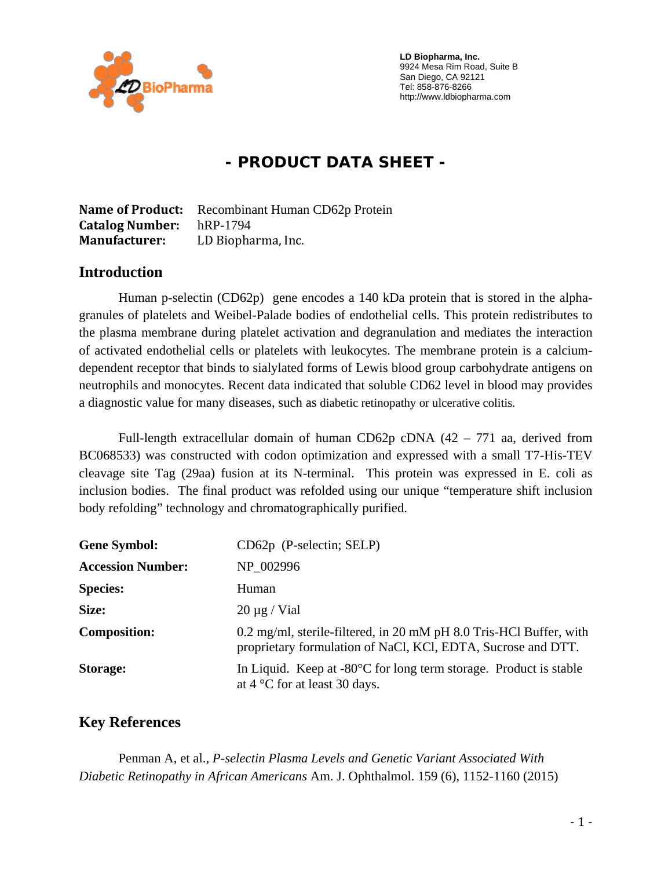

 **LD Biopharma, Inc.**  9924 Mesa Rim Road, Suite B San Diego, CA 92121 Tel: 858-876-8266 http://www.ldbiopharma.com

# **- PRODUCT DATA SHEET -**

**Name of Product:** Recombinant Human CD62p Protein **Catalog Number:** hRP-1794 **Manufacturer:** LD Biopharma, Inc.

### **Introduction**

Human p-selectin (CD62p) gene encodes a 140 kDa protein that is stored in the alphagranules of platelets and Weibel-Palade bodies of endothelial cells. This protein redistributes to the plasma membrane during platelet activation and degranulation and mediates the interaction of activated endothelial cells or platelets with leukocytes. The membrane protein is a calciumdependent receptor that binds to sialylated forms of Lewis blood group carbohydrate antigens on neutrophils and monocytes. Recent data indicated that soluble CD62 level in blood may provides a diagnostic value for many diseases, such as diabetic retinopathy or ulcerative colitis.

Full-length extracellular domain of human CD62p cDNA (42 – 771 aa, derived from BC068533) was constructed with codon optimization and expressed with a small T7-His-TEV cleavage site Tag (29aa) fusion at its N-terminal. This protein was expressed in E. coli as inclusion bodies. The final product was refolded using our unique "temperature shift inclusion body refolding" technology and chromatographically purified.

| <b>Gene Symbol:</b>      | $CD62p$ (P-selectin; SELP)                                                                                                         |
|--------------------------|------------------------------------------------------------------------------------------------------------------------------------|
| <b>Accession Number:</b> | NP 002996                                                                                                                          |
| <b>Species:</b>          | Human                                                                                                                              |
| Size:                    | $20 \mu g$ / Vial                                                                                                                  |
| <b>Composition:</b>      | 0.2 mg/ml, sterile-filtered, in 20 mM pH 8.0 Tris-HCl Buffer, with<br>proprietary formulation of NaCl, KCl, EDTA, Sucrose and DTT. |
| <b>Storage:</b>          | In Liquid. Keep at $-80^{\circ}$ C for long term storage. Product is stable<br>at $4^{\circ}$ C for at least 30 days.              |

### **Key References**

 Penman A, et al., *P-selectin Plasma Levels and Genetic Variant Associated With Diabetic Retinopathy in African Americans* Am. J. Ophthalmol. 159 (6), 1152-1160 (2015)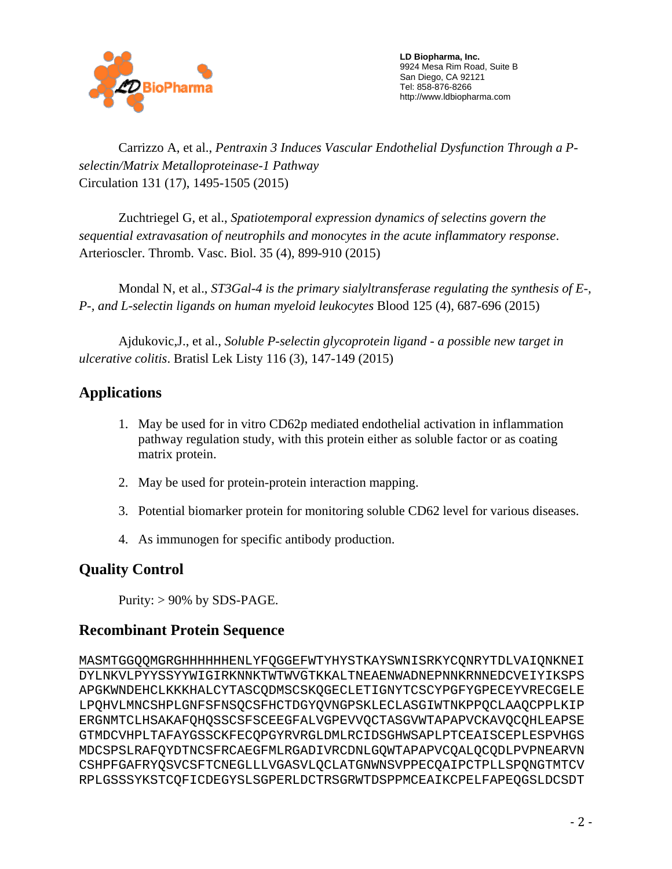

 **LD Biopharma, Inc.**  9924 Mesa Rim Road, Suite B San Diego, CA 92121 Tel: 858-876-8266 http://www.ldbiopharma.com

 Carrizzo A, et al., *Pentraxin 3 Induces Vascular Endothelial Dysfunction Through a Pselectin/Matrix Metalloproteinase-1 Pathway* Circulation 131 (17), 1495-1505 (2015)

 Zuchtriegel G, et al., *Spatiotemporal expression dynamics of selectins govern the sequential extravasation of neutrophils and monocytes in the acute inflammatory response*. Arterioscler. Thromb. Vasc. Biol. 35 (4), 899-910 (2015)

 Mondal N, et al., *ST3Gal-4 is the primary sialyltransferase regulating the synthesis of E-, P-, and L-selectin ligands on human myeloid leukocytes* Blood 125 (4), 687-696 (2015)

 Ajdukovic,J., et al., *Soluble P-selectin glycoprotein ligand - a possible new target in ulcerative colitis*. Bratisl Lek Listy 116 (3), 147-149 (2015)

## **Applications**

- 1. May be used for in vitro CD62p mediated endothelial activation in inflammation pathway regulation study, with this protein either as soluble factor or as coating matrix protein.
- 2. May be used for protein-protein interaction mapping.
- 3. Potential biomarker protein for monitoring soluble CD62 level for various diseases.
- 4. As immunogen for specific antibody production.

## **Quality Control**

Purity: > 90% by SDS-PAGE.

## **Recombinant Protein Sequence**

MASMTGGQQMGRGHHHHHHENLYFQGGEFWTYHYSTKAYSWNISRKYCQNRYTDLVAIQNKNEI DYLNKVLPYYSSYYWIGIRKNNKTWTWVGTKKALTNEAENWADNEPNNKRNNEDCVEIYIKSPS APGKWNDEHCLKKKHALCYTASCQDMSCSKQGECLETIGNYTCSCYPGFYGPECEYVRECGELE LPQHVLMNCSHPLGNFSFNSQCSFHCTDGYQVNGPSKLECLASGIWTNKPPQCLAAQCPPLKIP ERGNMTCLHSAKAFQHQSSCSFSCEEGFALVGPEVVQCTASGVWTAPAPVCKAVQCQHLEAPSE GTMDCVHPLTAFAYGSSCKFECQPGYRVRGLDMLRCIDSGHWSAPLPTCEAISCEPLESPVHGS MDCSPSLRAFQYDTNCSFRCAEGFMLRGADIVRCDNLGQWTAPAPVCQALQCQDLPVPNEARVN CSHPFGAFRYQSVCSFTCNEGLLLVGASVLQCLATGNWNSVPPECQAIPCTPLLSPQNGTMTCV RPLGSSSYKSTCQFICDEGYSLSGPERLDCTRSGRWTDSPPMCEAIKCPELFAPEQGSLDCSDT